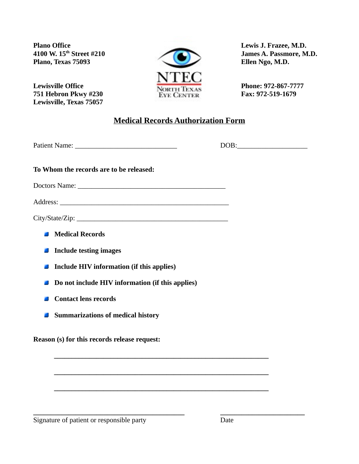**Plano Office Lewis J. Frazee, M.D. Plano, Texas 75093 Ellen Ngo, M.D.** 

**Lewisville Office Phone: 972-867-7777 751 Hebron Pkwy #230 Fax: 972-519-1679 Lewisville, Texas 75057**



**4100 W. 15th Street #210 James A. Passmore, M.D.**

## **Medical Records Authorization Form**

| Patient Name: |  |  |
|---------------|--|--|
|---------------|--|--|

 $DOB:$ 

**To Whom the records are to be released:**

Doctors Name: \_\_\_\_\_\_\_\_\_\_\_\_\_\_\_\_\_\_\_\_\_\_\_\_\_\_\_\_\_\_\_\_\_\_\_\_\_\_\_\_\_\_

Address:

City/State/Zip: \_\_\_\_\_\_\_\_\_\_\_\_\_\_\_\_\_\_\_\_\_\_\_\_\_\_\_\_\_\_\_\_\_\_\_\_\_\_\_\_\_\_\_

- **Medical Records**
- **Include testing images**
- **Include HIV information (if this applies)**
- $\blacksquare$  Do not include HIV information (if this applies)

**\_\_\_\_\_\_\_\_\_\_\_\_\_\_\_\_\_\_\_\_\_\_\_\_\_\_\_\_\_\_\_\_\_\_\_\_\_\_\_\_\_\_\_\_\_\_\_\_\_\_\_\_\_\_\_\_\_\_\_\_\_**

**\_\_\_\_\_\_\_\_\_\_\_\_\_\_\_\_\_\_\_\_\_\_\_\_\_\_\_\_\_\_\_\_\_\_\_\_\_\_\_\_\_\_\_\_\_\_\_\_\_\_\_\_\_\_\_\_\_\_\_\_\_**

**\_\_\_\_\_\_\_\_\_\_\_\_\_\_\_\_\_\_\_\_\_\_\_\_\_\_\_\_\_\_\_\_\_\_\_\_\_\_\_\_\_\_\_\_\_\_\_\_\_\_\_\_\_\_\_\_\_\_\_\_\_**

- **Contact lens records**
- **Summarizations of medical history**

**Reason (s) for this records release request:**

Signature of patient or responsible party Date